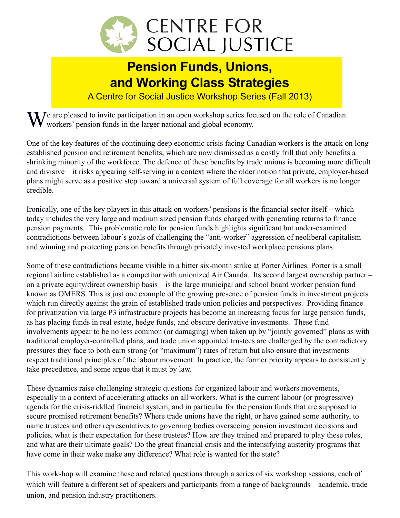

## **Pension Funds, Unions, and Working Class Strategies**

A Centre for Social Justice Workshop Series (Fall 2013)

 $\sum_{n=1}^{\infty}$   $\sum_{n=1}^{\infty}$  are pleased to invite participation in an open workshop series focused on the role of Canadian workers' pension funds in the larger national and global economy.

One of the key features of the continuing deep economic crisis facing Canadian workers is the attack on long established pension and retirement benefits, which are now dismissed as a costly frill that only benefits a shrinking minority of the workforce. The defence of these benefits by trade unions is becoming more difficult and divisive – it risks appearing self-serving in a context where the older notion that private, employer-based plans might serve as a positive step toward a universal system of full coverage for all workers is no longer credible.

Ironically, one of the key players in this attack on workers' pensions is the financial sector itself – which today includes the very large and medium sized pension funds charged with generating returns to finance pension payments. This problematic role for pension funds highlights significant but under-examined contradictions between labour's goals of challenging the "anti-worker" aggression of neoliberal capitalism and winning and protecting pension benefits through privately invested workplace pensions plans.

Some of these contradictions became visible in a bitter six-month strike at Porter Airlines. Porter is a small regional airline established as a competitor with unionized Air Canada. Its second largest ownership partner – on a private equity/direct ownership basis – is the large municipal and school board worker pension fund known as OMERS. This is just one example of the growing presence of pension funds in investment projects which run directly against the grain of established trade union policies and perspectives. Providing finance for privatization via large P3 infrastructure projects has become an increasing focus for large pension funds, as has placing funds in real estate, hedge funds, and obscure derivative investments. These fund involvements appear to be no less common (or damaging) when taken up by "jointly governed" plans as with traditional employer-controlled plans, and trade union appointed trustees are challenged by the contradictory pressures they face to both earn strong (or "maximum") rates of return but also ensure that investments respect traditional principles of the labour movement. In practice, the former priority appears to consistently take precedence, and some argue that it must by law.

These dynamics raise challenging strategic questions for organized labour and workers movements, especially in a context of accelerating attacks on all workers. What is the current labour (or progressive) agenda for the crisis-riddled financial system, and in particular for the pension funds that are supposed to secure promised retirement benefits? Where trade unions have the right, or have gained some authority, to name trustees and other representatives to governing bodies overseeing pension investment decisions and policies, what is their expectation for these trustees? How are they trained and prepared to play these roles, and what are their ultimate goals? Do the great financial crisis and the intensifying austerity programs that have come in their wake make any difference? What role is wanted for the state?

This workshop will examine these and related questions through a series of six workshop sessions, each of which will feature a different set of speakers and participants from a range of backgrounds – academic, trade union, and pension industry practitioners.